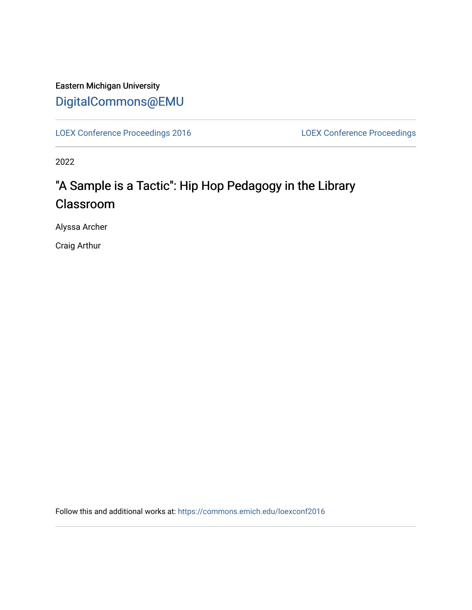# Eastern Michigan University [DigitalCommons@EMU](https://commons.emich.edu/)

[LOEX Conference Proceedings 2016](https://commons.emich.edu/loexconf2016) [LOEX Conference Proceedings](https://commons.emich.edu/loexconf) 

2022

# "A Sample is a Tactic": Hip Hop Pedagogy in the Library Classroom

Alyssa Archer

Craig Arthur

Follow this and additional works at: [https://commons.emich.edu/loexconf2016](https://commons.emich.edu/loexconf2016?utm_source=commons.emich.edu%2Floexconf2016%2F41&utm_medium=PDF&utm_campaign=PDFCoverPages)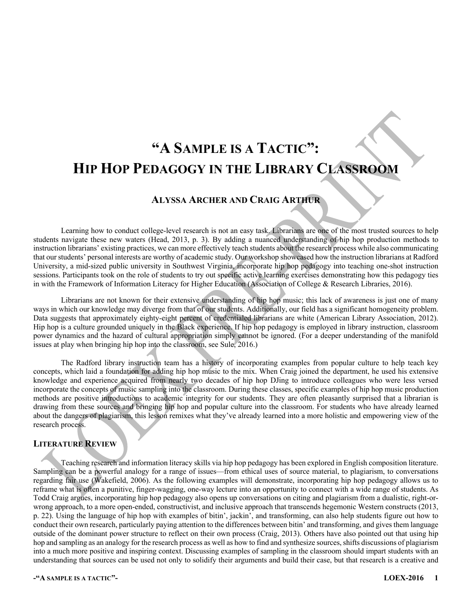# **"A SAMPLE IS A TACTIC": HIP HOP PEDAGOGY IN THE LIBRARY CLASSROOM**

# **ALYSSA ARCHER AND CRAIG ARTHUR**

Learning how to conduct college-level research is not an easy task. Librarians are one of the most trusted sources to help students navigate these new waters (Head, 2013, p. 3). By adding a nuanced understanding of hip hop production methods to instruction librarians' existing practices, we can more effectively teach students about the research process while also communicating that our students' personal interests are worthy of academic study. Our workshop showcased how the instruction librarians at Radford University, a mid-sized public university in Southwest Virginia, incorporate hip hop pedagogy into teaching one-shot instruction sessions. Participants took on the role of students to try out specific active learning exercises demonstrating how this pedagogy ties in with the Framework of Information Literacy for Higher Education (Association of College & Research Libraries, 2016).

Librarians are not known for their extensive understanding of hip hop music; this lack of awareness is just one of many ways in which our knowledge may diverge from that of our students. Additionally, our field has a significant homogeneity problem. Data suggests that approximately eighty-eight percent of credentialed librarians are white (American Library Association, 2012). Hip hop is a culture grounded uniquely in the Black experience. If hip hop pedagogy is employed in library instruction, classroom power dynamics and the hazard of cultural appropriation simply cannot be ignored. (For a deeper understanding of the manifold issues at play when bringing hip hop into the classroom, see Sule, 2016.)

The Radford library instruction team has a history of incorporating examples from popular culture to help teach key concepts, which laid a foundation for adding hip hop music to the mix. When Craig joined the department, he used his extensive knowledge and experience acquired from nearly two decades of hip hop DJing to introduce colleagues who were less versed incorporate the concepts of music sampling into the classroom. During these classes, specific examples of hip hop music production methods are positive introductions to academic integrity for our students. They are often pleasantly surprised that a librarian is drawing from these sources and bringing hip hop and popular culture into the classroom. For students who have already learned about the dangers of plagiarism, this lesson remixes what they've already learned into a more holistic and empowering view of the research process.

# **LITERATURE REVIEW**

Teaching research and information literacy skills via hip hop pedagogy has been explored in English composition literature. Sampling can be a powerful analogy for a range of issues—from ethical uses of source material, to plagiarism, to conversations regarding fair use (Wakefield, 2006). As the following examples will demonstrate, incorporating hip hop pedagogy allows us to reframe what is often a punitive, finger-wagging, one-way lecture into an opportunity to connect with a wide range of students. As Todd Craig argues, incorporating hip hop pedagogy also opens up conversations on citing and plagiarism from a dualistic, right-orwrong approach, to a more open-ended, constructivist, and inclusive approach that transcends hegemonic Western constructs (2013, p. 22). Using the language of hip hop with examples of bitin', jackin', and transforming, can also help students figure out how to conduct their own research, particularly paying attention to the differences between bitin' and transforming, and gives them language outside of the dominant power structure to reflect on their own process (Craig, 2013). Others have also pointed out that using hip hop and sampling as an analogy for the research process as well as how to find and synthesize sources, shifts discussions of plagiarism into a much more positive and inspiring context. Discussing examples of sampling in the classroom should impart students with an understanding that sources can be used not only to solidify their arguments and build their case, but that research is a creative and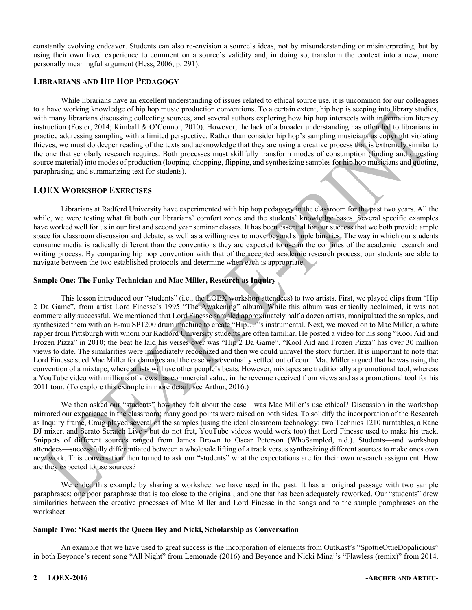constantly evolving endeavor. Students can also re-envision a source's ideas, not by misunderstanding or misinterpreting, but by using their own lived experience to comment on a source's validity and, in doing so, transform the context into a new, more personally meaningful argument (Hess, 2006, p. 291).

## **LIBRARIANS AND HIP HOP PEDAGOGY**

While librarians have an excellent understanding of issues related to ethical source use, it is uncommon for our colleagues to a have working knowledge of hip hop music production conventions. To a certain extent, hip hop is seeping into library studies, with many librarians discussing collecting sources, and several authors exploring how hip hop intersects with information literacy instruction (Foster, 2014; Kimball & O'Connor, 2010). However, the lack of a broader understanding has often led to librarians in practice addressing sampling with a limited perspective. Rather than consider hip hop's sampling musicians as copyright violating thieves, we must do deeper reading of the texts and acknowledge that they are using a creative process that is extremely similar to the one that scholarly research requires. Both processes must skillfully transform modes of consumption (finding and digesting source material) into modes of production (looping, chopping, flipping, and synthesizing samples for hip hop musicians and quoting, paraphrasing, and summarizing text for students).

# **LOEX WORKSHOP EXERCISES**

Librarians at Radford University have experimented with hip hop pedagogy in the classroom for the past two years. All the while, we were testing what fit both our librarians' comfort zones and the students' knowledge bases. Several specific examples have worked well for us in our first and second year seminar classes. It has been essential for our success that we both provide ample space for classroom discussion and debate, as well as a willingness to move beyond simple binaries. The way in which our students consume media is radically different than the conventions they are expected to use in the confines of the academic research and writing process. By comparing hip hop convention with that of the accepted academic research process, our students are able to navigate between the two established protocols and determine when each is appropriate.

### **Sample One: The Funky Technician and Mac Miller, Research as Inquiry**

This lesson introduced our "students" (i.e., the LOEX workshop attendees) to two artists. First, we played clips from "Hip 2 Da Game", from artist Lord Finesse's 1995 "The Awakening" album. While this album was critically acclaimed, it was not commercially successful. We mentioned that Lord Finesse sampled approximately half a dozen artists, manipulated the samples, and synthesized them with an E-mu SP1200 drum machine to create "Hip..."'s instrumental. Next, we moved on to Mac Miller, a white rapper from Pittsburgh with whom our Radford University students are often familiar. He posted a video for his song "Kool Aid and Frozen Pizza" in 2010; the beat he laid his verses over was "Hip 2 Da Game". "Kool Aid and Frozen Pizza" has over 30 million views to date. The similarities were immediately recognized and then we could unravel the story further. It is important to note that Lord Finesse sued Mac Miller for damages and the case was eventually settled out of court. Mac Miller argued that he was using the convention of a mixtape, where artists will use other people's beats. However, mixtapes are traditionally a promotional tool, whereas a YouTube video with millions of views has commercial value, in the revenue received from views and as a promotional tool for his 2011 tour. (To explore this example in more detail, see Arthur, 2016.)

We then asked our "students" how they felt about the case—was Mac Miller's use ethical? Discussion in the workshop mirrored our experience in the classroom; many good points were raised on both sides. To solidify the incorporation of the Research as Inquiry frame, Craig played several of the samples (using the ideal classroom technology: two Technics 1210 turntables, a Rane DJ mixer, and Serato Scratch Live - but do not fret, YouTube videos would work too) that Lord Finesse used to make his track. Snippets of different sources ranged from James Brown to Oscar Peterson (WhoSampled, n.d.). Students—and workshop attendees—successfully differentiated between a wholesale lifting of a track versus synthesizing different sources to make ones own new work. This conversation then turned to ask our "students" what the expectations are for their own research assignment. How are they expected to use sources?

We ended this example by sharing a worksheet we have used in the past. It has an original passage with two sample paraphrases: one poor paraphrase that is too close to the original, and one that has been adequately reworked. Our "students" drew similarities between the creative processes of Mac Miller and Lord Finesse in the songs and to the sample paraphrases on the worksheet.

#### **Sample Two: 'Kast meets the Queen Bey and Nicki, Scholarship as Conversation**

An example that we have used to great success is the incorporation of elements from OutKast's "SpottieOttieDopalicious" in both Beyonce's recent song "All Night" from Lemonade (2016) and Beyonce and Nicki Minaj's "Flawless (remix)" from 2014.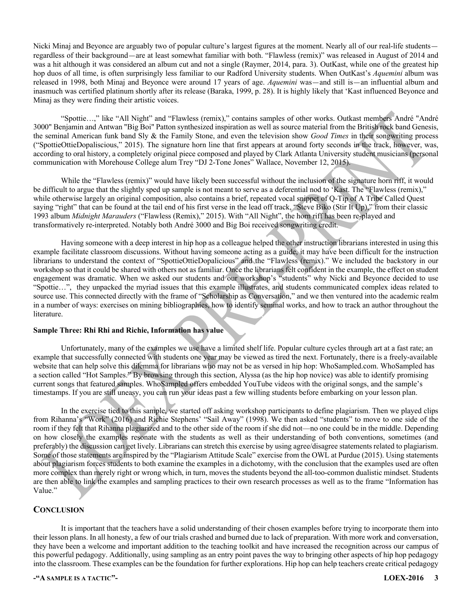Nicki Minaj and Beyonce are arguably two of popular culture's largest figures at the moment. Nearly all of our real-life students regardless of their background—are at least somewhat familiar with both. "Flawless (remix)" was released in August of 2014 and was a hit although it was considered an album cut and not a single (Raymer, 2014, para. 3). OutKast, while one of the greatest hip hop duos of all time, is often surprisingly less familiar to our Radford University students. When OutKast's *Aquemini* album was released in 1998, both Minaj and Beyonce were around 17 years of age. *Aquemini* was—and still is—an influential album and inasmuch was certified platinum shortly after its release (Baraka, 1999, p. 28). It is highly likely that 'Kast influenced Beyonce and Minaj as they were finding their artistic voices.

"Spottie…," like "All Night" and "Flawless (remix)," contains samples of other works. Outkast members André "André 3000" Benjamin and Antwan "Big Boi" Patton synthesized inspiration as well as source material from the British rock band Genesis, the seminal American funk band Sly & the Family Stone, and even the television show *Good Times* in their songwriting process ("SpottieOttieDopaliscious," 2015). The signature horn line that first appears at around forty seconds in the track, however, was, according to oral history, a completely original piece composed and played by Clark Atlanta University student musicians (personal communication with Morehouse College alum Trey "DJ 2-Tone Jones" Wallace, November 12, 2015).

While the "Flawless (remix)" would have likely been successful without the inclusion of the signature horn riff, it would be difficult to argue that the slightly sped up sample is not meant to serve as a deferential nod to 'Kast. The "Flawless (remix)," while otherwise largely an original composition, also contains a brief, repeated vocal snippet of Q-Tip of A Tribe Called Quest saying "right" that can be found at the tail end of his first verse in the lead off track, "Steve Biko (Stir It Up)," from their classic 1993 album *Midnight Marauders* ("Flawless (Remix)," 2015). With "All Night", the horn riff has been re-played and transformatively re-interpreted. Notably both André 3000 and Big Boi received songwriting credit.

Having someone with a deep interest in hip hop as a colleague helped the other instruction librarians interested in using this example facilitate classroom discussions. Without having someone acting as a guide, it may have been difficult for the instruction librarians to understand the context of "SpottieOttieDopalicious" and the "Flawless (remix)." We included the backstory in our workshop so that it could be shared with others not as familiar. Once the librarians felt confident in the example, the effect on student engagement was dramatic. When we asked our students and our workshop's "students" why Nicki and Beyonce decided to use "Spottie…", they unpacked the myriad issues that this example illustrates, and students communicated complex ideas related to source use. This connected directly with the frame of "Scholarship as Conversation," and we then ventured into the academic realm in a number of ways: exercises on mining bibliographies, how to identify seminal works, and how to track an author throughout the literature.

#### **Sample Three: Rhi Rhi and Richie, Information has value**

Unfortunately, many of the examples we use have a limited shelf life. Popular culture cycles through art at a fast rate; an example that successfully connected with students one year may be viewed as tired the next. Fortunately, there is a freely-available website that can help solve this dilemma for librarians who may not be as versed in hip hop: WhoSampled.com. WhoSampled has a section called "Hot Samples." By browsing through this section, Alyssa (as the hip hop novice) was able to identify promising current songs that featured samples. WhoSampled offers embedded YouTube videos with the original songs, and the sample's timestamps. If you are still uneasy, you can run your ideas past a few willing students before embarking on your lesson plan.

In the exercise tied to this sample, we started off asking workshop participants to define plagiarism. Then we played clips from Rihanna's "Work" (2016) and Richie Stephens' "Sail Away" (1998). We then asked "students" to move to one side of the room if they felt that Rihanna plagiarized and to the other side of the room if she did not—no one could be in the middle. Depending on how closely the examples resonate with the students as well as their understanding of both conventions, sometimes (and preferably) the discussion can get lively. Librarians can stretch this exercise by using agree/disagree statements related to plagiarism. Some of those statements are inspired by the "Plagiarism Attitude Scale" exercise from the OWL at Purdue (2015). Using statements about plagiarism forces students to both examine the examples in a dichotomy, with the conclusion that the examples used are often more complex than merely right or wrong which, in turn, moves the students beyond the all-too-common dualistic mindset. Students are then able to link the examples and sampling practices to their own research processes as well as to the frame "Information has Value."

### **CONCLUSION**

It is important that the teachers have a solid understanding of their chosen examples before trying to incorporate them into their lesson plans. In all honesty, a few of our trials crashed and burned due to lack of preparation. With more work and conversation, they have been a welcome and important addition to the teaching toolkit and have increased the recognition across our campus of this powerful pedagogy. Additionally, using sampling as an entry point paves the way to bringing other aspects of hip hop pedagogy into the classroom. These examples can be the foundation for further explorations. Hip hop can help teachers create critical pedagogy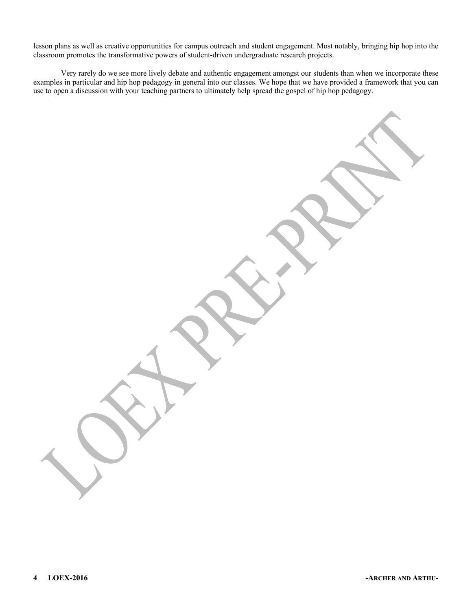lesson plans as well as creative opportunities for campus outreach and student engagement. Most notably, bringing hip hop into the classroom promotes the transformative powers of student-driven undergraduate research projects.

Very rarely do we see more lively debate and authentic engagement amongst our students than when we incorporate these examples in particular and hip hop pedagogy in general into our classes. We hope that we have provided a framework that you can use to open a discussion with your teaching partners to ultimately help spread the gospel of hip hop pedagogy.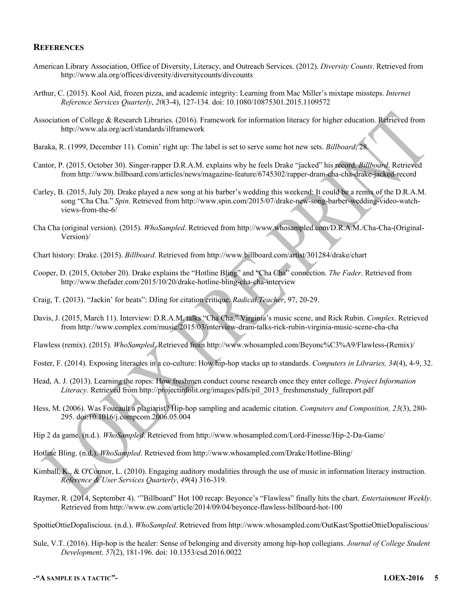### **REFERENCES**

- American Library Association, Office of Diversity, Literacy, and Outreach Services. (2012). *Diversity Counts*. Retrieved from http://www.ala.org/offices/diversity/diversitycounts/divcounts
- Arthur, C. (2015). Kool Aid, frozen pizza, and academic integrity: Learning from Mac Miller's mixtape missteps. *Internet Reference Services Quarterly*, *20*(3-4), 127-134. doi: 10.1080/10875301.2015.1109572
- Association of College & Research Libraries. (2016). Framework for information literacy for higher education. Retrieved from http://www.ala.org/acrl/standards/ilframework
- Baraka, R. (1999, December 11). Comin' right up: The label is set to serve some hot new sets. *Billboard*, 28.
- Cantor, P. (2015, October 30). Singer-rapper D.R.A.M. explains why he feels Drake "jacked" his record. *Billboard*. Retrieved from http://www.billboard.com/articles/news/magazine-feature/6745302/rapper-dram-cha-cha-drake-jacked-record
- Carley, B. (2015, July 20). Drake played a new song at his barber's wedding this weekend: It could be a remix of the D.R.A.M. song "Cha Cha." *Spin*. Retrieved from http://www.spin.com/2015/07/drake-new-song-barber-wedding-video-watchviews-from-the-6/
- Cha Cha (original version). (2015). *WhoSampled*. Retrieved from http://www.whosampled.com/D.R.A.M./Cha-Cha-(Original-Version)/
- Chart history: Drake. (2015). *Billboard*. Retrieved from http://www.billboard.com/artist/301284/drake/chart
- Cooper, D. (2015, October 20). Drake explains the "Hotline Bling" and "Cha Cha" connection. *The Fader*. Retrieved from http://www.thefader.com/2015/10/20/drake-hotline-bling-cha-cha-interview
- Craig, T. (2013). "Jackin' for beats": DJing for citation critique. *Radical Teacher*, 97, 20-29.
- Davis, J. (2015, March 11). Interview: D.R.A.M. talks "Cha Cha," Virginia's music scene, and Rick Rubin. *Complex*. Retrieved from http://www.complex.com/music/2015/03/interview-dram-talks-rick-rubin-virginia-music-scene-cha-cha
- Flawless (remix). (2015). *WhoSampled*. Retrieved from http://www.whosampled.com/Beyonc%C3%A9/Flawless-(Remix)/
- Foster, F. (2014). Exposing literacies in a co-culture: How hip-hop stacks up to standards. *Computers in Libraries, 34*(4), 4-9, 32.
- Head, A. J. (2013). Learning the ropes: How freshmen conduct course research once they enter college. *Project Information Literacy*. Retrieved from http://projectinfolit.org/images/pdfs/pil\_2013\_freshmenstudy\_fullreport.pdf
- Hess, M. (2006). Was Foucault a plagiarist? Hip-hop sampling and academic citation. *Computers and Composition, 23*(3), 280- 295. doi:10.1016/j.compcom.2006.05.004
- Hip 2 da game. (n.d.). *WhoSampled*. Retrieved from http://www.whosampled.com/Lord-Finesse/Hip-2-Da-Game/
- Hotline Bling. (n.d.). *WhoSampled*. Retrieved from http://www.whosampled.com/Drake/Hotline-Bling/
- Kimball, K., & O'Connor, L. (2010). Engaging auditory modalities through the use of music in information literacy instruction. *Reference & User Services Quarterly*, *49*(4) 316-319.
- Raymer, R. (2014, September 4). '"Billboard" Hot 100 recap: Beyonce's "Flawless" finally hits the chart. *Entertainment Weekly*. Retrieved from http://www.ew.com/article/2014/09/04/beyonce-flawless-billboard-hot-100

SpottieOttieDopaliscious. (n.d.). *WhoSampled*. Retrieved from http://www.whosampled.com/OutKast/SpottieOttieDopaliscious/

Sule, V.T. (2016). Hip-hop is the healer: Sense of belonging and diversity among hip-hop collegians. *Journal of College Student Development, 57*(2), 181-196. doi: 10.1353/csd.2016.0022